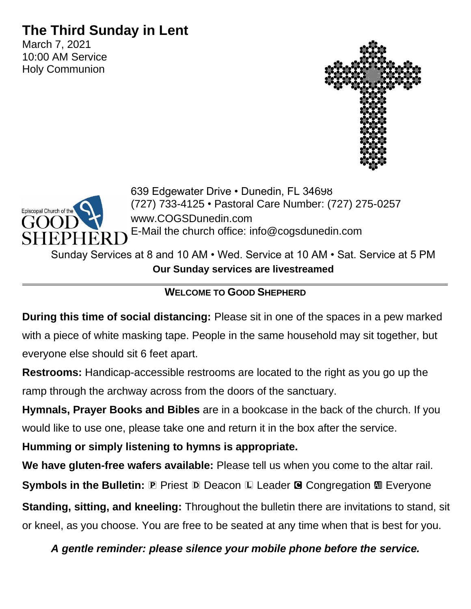# **The Third Sunday in Lent**

March 7, 2021 10:00 AM Service Holy Communion





639 Edgewater Drive • Dunedin, FL 34698 (727) 733-4125 • Pastoral Care Number: (727) 275-0257 www.COGSDunedin.com E-Mail the church office: info@cogsdunedin.com

Sunday Services at 8 and 10 AM • Wed. Service at 10 AM • Sat. Service at 5 PM **Our Sunday services are livestreamed**

#### **WELCOME TO GOOD SHEPHERD**

**During this time of social distancing:** Please sit in one of the spaces in a pew marked with a piece of white masking tape. People in the same household may sit together, but everyone else should sit 6 feet apart.

**Restrooms:** Handicap-accessible restrooms are located to the right as you go up the ramp through the archway across from the doors of the sanctuary.

**Hymnals, Prayer Books and Bibles** are in a bookcase in the back of the church. If you would like to use one, please take one and return it in the box after the service.

**Humming or simply listening to hymns is appropriate.**

**We have gluten-free wafers available:** Please tell us when you come to the altar rail.

**Symbols in the Bulletin: P Priest D Deacon L Leader G Congregation M Everyone** 

**Standing, sitting, and kneeling:** Throughout the bulletin there are invitations to stand, sit or kneel, as you choose. You are free to be seated at any time when that is best for you.

*A gentle reminder: please silence your mobile phone before the service.*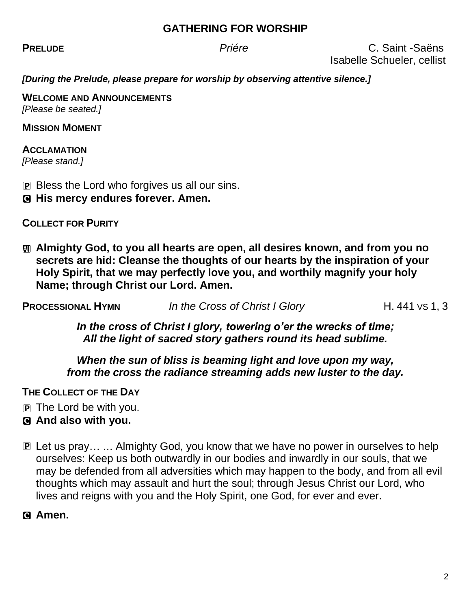### **GATHERING FOR WORSHIP**

**PRELUDE** *Priére* C. Saint -Saëns Isabelle Schueler, cellist

*[During the Prelude, please prepare for worship by observing attentive silence.]*

**WELCOME AND ANNOUNCEMENTS** *[Please be seated.]*

**MISSION MOMENT**

#### **ACCLAMATION** *[Please stand.]*

- $\mathbf{P}$  Bless the Lord who forgives us all our sins.
- C **His mercy endures forever. Amen.**

#### **COLLECT FOR PURITY**

 $\text{m}$  **Almighty God, to you all hearts are open, all desires known, and from you no secrets are hid: Cleanse the thoughts of our hearts by the inspiration of your Holy Spirit, that we may perfectly love you, and worthily magnify your holy Name; through Christ our Lord. Amen.**

**PROCESSIONAL HYMN** *In the Cross of Christ I Glory* **H. 441 VS 1, 3** 

*In the cross of Christ I glory, towering o'er the wrecks of time; All the light of sacred story gathers round its head sublime.*

*When the sun of bliss is beaming light and love upon my way, from the cross the radiance streaming adds new luster to the day.*

#### **THE COLLECT OF THE DAY**

- P The Lord be with you.
- C **And also with you.**
- P Let us pray… … Almighty God, you know that we have no power in ourselves to help ourselves: Keep us both outwardly in our bodies and inwardly in our souls, that we may be defended from all adversities which may happen to the body, and from all evil thoughts which may assault and hurt the soul; through Jesus Christ our Lord, who lives and reigns with you and the Holy Spirit, one God, for ever and ever.
- C **Amen.**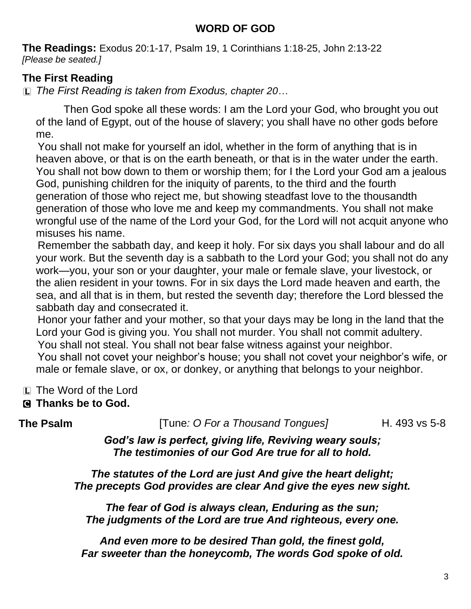# **WORD OF GOD**

**The Readings:** Exodus 20:1-17, Psalm 19, 1 Corinthians 1:18-25, John 2:13-22 *[Please be seated.]*

# **The First Reading**

L *The First Reading is taken from Exodus, chapter 20…*

Then God spoke all these words: I am the Lord your God, who brought you out of the land of Egypt, out of the house of slavery; you shall have no other gods before me.

You shall not make for yourself an idol, whether in the form of anything that is in heaven above, or that is on the earth beneath, or that is in the water under the earth. You shall not bow down to them or worship them; for I the Lord your God am a jealous God, punishing children for the iniquity of parents, to the third and the fourth generation of those who reject me, but showing steadfast love to the thousandth generation of those who love me and keep my commandments. You shall not make wrongful use of the name of the Lord your God, for the Lord will not acquit anyone who misuses his name.

Remember the sabbath day, and keep it holy. For six days you shall labour and do all your work. But the seventh day is a sabbath to the Lord your God; you shall not do any work—you, your son or your daughter, your male or female slave, your livestock, or the alien resident in your towns. For in six days the Lord made heaven and earth, the sea, and all that is in them, but rested the seventh day; therefore the Lord blessed the sabbath day and consecrated it.

Honor your father and your mother, so that your days may be long in the land that the Lord your God is giving you. You shall not murder. You shall not commit adultery. You shall not steal. You shall not bear false witness against your neighbor.

You shall not covet your neighbor's house; you shall not covet your neighbor's wife, or male or female slave, or ox, or donkey, or anything that belongs to your neighbor.

L The Word of the Lord

# C **Thanks be to God.**

**The Psalm Example 2.1 Transformation Formula** Thousand Tongues] H. 493 vs 5-8

*God's law is perfect, giving life, Reviving weary souls; The testimonies of our God Are true for all to hold.*

*The statutes of the Lord are just And give the heart delight; The precepts God provides are clear And give the eyes new sight.*

*The fear of God is always clean, Enduring as the sun; The judgments of the Lord are true And righteous, every one.*

*And even more to be desired Than gold, the finest gold, Far sweeter than the honeycomb, The words God spoke of old.*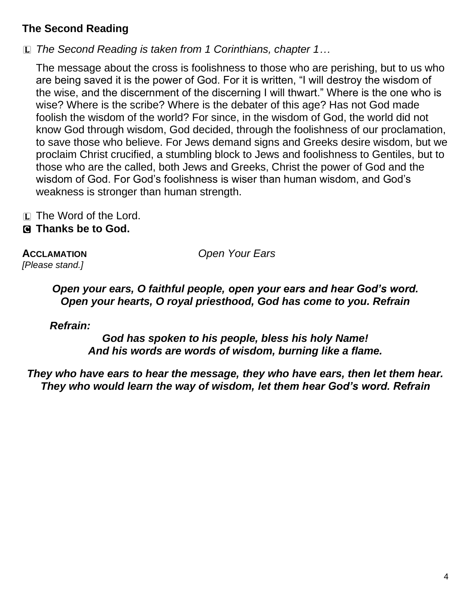# **The Second Reading**

L *The Second Reading is taken from 1 Corinthians, chapter 1…*

The message about the cross is foolishness to those who are perishing, but to us who are being saved it is the power of God. For it is written, "I will destroy the wisdom of the wise, and the discernment of the discerning I will thwart." Where is the one who is wise? Where is the scribe? Where is the debater of this age? Has not God made foolish the wisdom of the world? For since, in the wisdom of God, the world did not know God through wisdom, God decided, through the foolishness of our proclamation, to save those who believe. For Jews demand signs and Greeks desire wisdom, but we proclaim Christ crucified, a stumbling block to Jews and foolishness to Gentiles, but to those who are the called, both Jews and Greeks, Christ the power of God and the wisdom of God. For God's foolishness is wiser than human wisdom, and God's weakness is stronger than human strength.

L The Word of the Lord.

#### C **Thanks be to God.**

*[Please stand.]*

**ACCLAMATION** *Open Your Ears*

*Open your ears, O faithful people, open your ears and hear God's word. Open your hearts, O royal priesthood, God has come to you. Refrain*

#### *Refrain:*

*God has spoken to his people, bless his holy Name! And his words are words of wisdom, burning like a flame.*

*They who have ears to hear the message, they who have ears, then let them hear. They who would learn the way of wisdom, let them hear God's word. Refrain*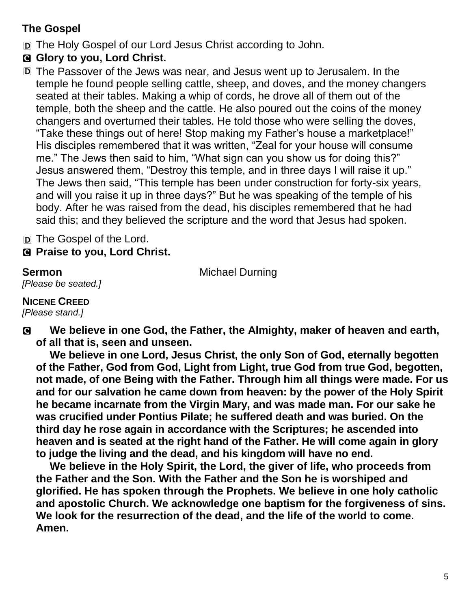# **The Gospel**

- D The Holy Gospel of our Lord Jesus Christ according to John.
- C **Glory to you, Lord Christ.**
- D The Passover of the Jews was near, and Jesus went up to Jerusalem. In the temple he found people selling cattle, sheep, and doves, and the money changers seated at their tables. Making a whip of cords, he drove all of them out of the temple, both the sheep and the cattle. He also poured out the coins of the money changers and overturned their tables. He told those who were selling the doves, "Take these things out of here! Stop making my Father's house a marketplace!" His disciples remembered that it was written, "Zeal for your house will consume me." The Jews then said to him, "What sign can you show us for doing this?" Jesus answered them, "Destroy this temple, and in three days I will raise it up." The Jews then said, "This temple has been under construction for forty-six years, and will you raise it up in three days?" But he was speaking of the temple of his body. After he was raised from the dead, his disciples remembered that he had said this; and they believed the scripture and the word that Jesus had spoken.
- D The Gospel of the Lord.
- C **Praise to you, Lord Christ.**

*[Please be seated.]*

**Sermon** Michael Durning

# **NICENE CREED**

*[Please stand.]*

C **We believe in one God, the Father, the Almighty, maker of heaven and earth, of all that is, seen and unseen.**

**We believe in one Lord, Jesus Christ, the only Son of God, eternally begotten of the Father, God from God, Light from Light, true God from true God, begotten, not made, of one Being with the Father. Through him all things were made. For us and for our salvation he came down from heaven: by the power of the Holy Spirit he became incarnate from the Virgin Mary, and was made man. For our sake he was crucified under Pontius Pilate; he suffered death and was buried. On the third day he rose again in accordance with the Scriptures; he ascended into heaven and is seated at the right hand of the Father. He will come again in glory to judge the living and the dead, and his kingdom will have no end.**

**We believe in the Holy Spirit, the Lord, the giver of life, who proceeds from the Father and the Son. With the Father and the Son he is worshiped and glorified. He has spoken through the Prophets. We believe in one holy catholic and apostolic Church. We acknowledge one baptism for the forgiveness of sins. We look for the resurrection of the dead, and the life of the world to come. Amen.**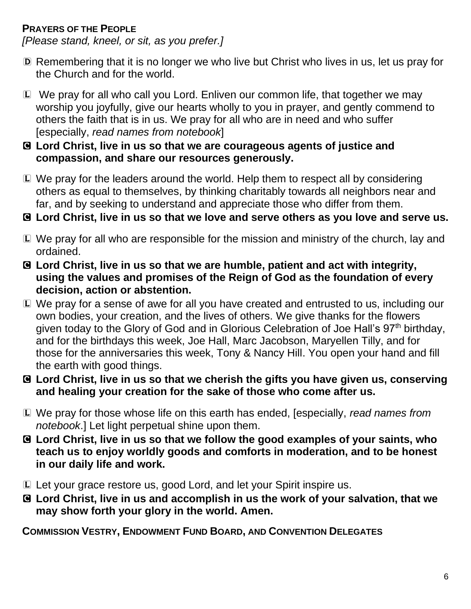### **PRAYERS OF THE PEOPLE**

*[Please stand, kneel, or sit, as you prefer.]*

- D Remembering that it is no longer we who live but Christ who lives in us, let us pray for the Church and for the world.
- L We pray for all who call you Lord. Enliven our common life, that together we may worship you joyfully, give our hearts wholly to you in prayer, and gently commend to others the faith that is in us. We pray for all who are in need and who suffer [especially, *read names from notebook*]
- C **Lord Christ, live in us so that we are courageous agents of justice and compassion, and share our resources generously.**
- L We pray for the leaders around the world. Help them to respect all by considering others as equal to themselves, by thinking charitably towards all neighbors near and far, and by seeking to understand and appreciate those who differ from them.
- C **Lord Christ, live in us so that we love and serve others as you love and serve us.**
- L We pray for all who are responsible for the mission and ministry of the church, lay and ordained.
- C **Lord Christ, live in us so that we are humble, patient and act with integrity, using the values and promises of the Reign of God as the foundation of every decision, action or abstention.**
- L We pray for a sense of awe for all you have created and entrusted to us, including our own bodies, your creation, and the lives of others. We give thanks for the flowers given today to the Glory of God and in Glorious Celebration of Joe Hall's  $97<sup>th</sup>$  birthday, and for the birthdays this week, Joe Hall, Marc Jacobson, Maryellen Tilly, and for those for the anniversaries this week, Tony & Nancy Hill. You open your hand and fill the earth with good things.
- C **Lord Christ, live in us so that we cherish the gifts you have given us, conserving and healing your creation for the sake of those who come after us.**
- L We pray for those whose life on this earth has ended, [especially, *read names from notebook*.] Let light perpetual shine upon them.
- C **Lord Christ, live in us so that we follow the good examples of your saints, who teach us to enjoy worldly goods and comforts in moderation, and to be honest in our daily life and work.**
- L Let your grace restore us, good Lord, and let your Spirit inspire us.
- C **Lord Christ, live in us and accomplish in us the work of your salvation, that we may show forth your glory in the world. Amen.**

**COMMISSION VESTRY, ENDOWMENT FUND BOARD, AND CONVENTION DELEGATES**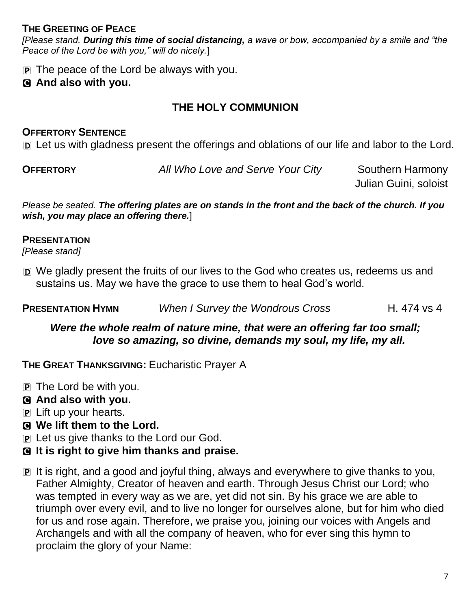#### **THE GREETING OF PEACE**

*[Please stand. During this time of social distancing, a wave or bow, accompanied by a smile and "the Peace of the Lord be with you," will do nicely.*]

 $\overline{p}$  The peace of the Lord be always with you.

#### C **And also with you.**

## **THE HOLY COMMUNION**

#### **OFFERTORY SENTENCE**

D Let us with gladness present the offerings and oblations of our life and labor to the Lord.

**OFFERTORY** *All Who Love and Serve Your City* Southern Harmony

Julian Guini, soloist

*Please be seated. The offering plates are on stands in the front and the back of the church. If you wish, you may place an offering there.*]

#### **PRESENTATION**

*[Please stand]*

D We gladly present the fruits of our lives to the God who creates us, redeems us and sustains us. May we have the grace to use them to heal God's world.

**PRESENTATION HYMN** *When I Survey the Wondrous Cross* **H. 474 vs 4** 

*Were the whole realm of nature mine, that were an offering far too small; love so amazing, so divine, demands my soul, my life, my all.*

**THE GREAT THANKSGIVING:** Eucharistic Prayer A

- $\mathbf{P}$  The Lord be with you.
- C **And also with you.**
- P Lift up your hearts.
- C **We lift them to the Lord.**
- P Let us give thanks to the Lord our God.
- C **It is right to give him thanks and praise.**
- P It is right, and a good and joyful thing, always and everywhere to give thanks to you, Father Almighty, Creator of heaven and earth. Through Jesus Christ our Lord; who was tempted in every way as we are, yet did not sin. By his grace we are able to triumph over every evil, and to live no longer for ourselves alone, but for him who died for us and rose again. Therefore, we praise you, joining our voices with Angels and Archangels and with all the company of heaven, who for ever sing this hymn to proclaim the glory of your Name: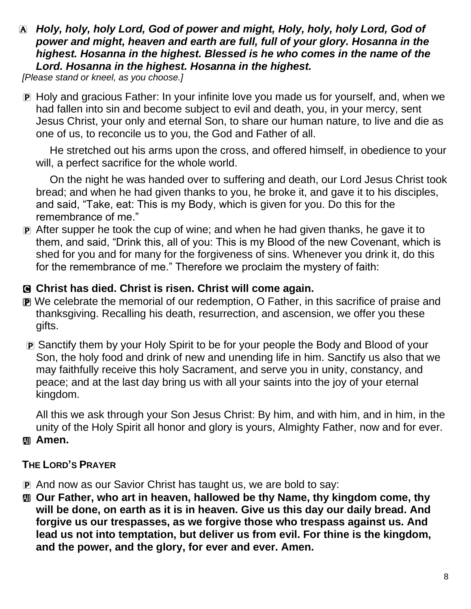#### A *Holy, holy, holy Lord, God of power and might, Holy, holy, holy Lord, God of power and might, heaven and earth are full, full of your glory. Hosanna in the highest. Hosanna in the highest. Blessed is he who comes in the name of the Lord. Hosanna in the highest. Hosanna in the highest.*

*[Please stand or kneel, as you choose.]*

P Holy and gracious Father: In your infinite love you made us for yourself, and, when we had fallen into sin and become subject to evil and death, you, in your mercy, sent Jesus Christ, your only and eternal Son, to share our human nature, to live and die as one of us, to reconcile us to you, the God and Father of all.

He stretched out his arms upon the cross, and offered himself, in obedience to your will, a perfect sacrifice for the whole world.

On the night he was handed over to suffering and death, our Lord Jesus Christ took bread; and when he had given thanks to you, he broke it, and gave it to his disciples, and said, "Take, eat: This is my Body, which is given for you. Do this for the remembrance of me."

P After supper he took the cup of wine; and when he had given thanks, he gave it to them, and said, "Drink this, all of you: This is my Blood of the new Covenant, which is shed for you and for many for the forgiveness of sins. Whenever you drink it, do this for the remembrance of me." Therefore we proclaim the mystery of faith:

# C **Christ has died. Christ is risen. Christ will come again.**

- P We celebrate the memorial of our redemption, O Father, in this sacrifice of praise and thanksgiving. Recalling his death, resurrection, and ascension, we offer you these gifts.
- P Sanctify them by your Holy Spirit to be for your people the Body and Blood of your Son, the holy food and drink of new and unending life in him. Sanctify us also that we may faithfully receive this holy Sacrament, and serve you in unity, constancy, and peace; and at the last day bring us with all your saints into the joy of your eternal kingdom.

All this we ask through your Son Jesus Christ: By him, and with him, and in him, in the unity of the Holy Spirit all honor and glory is yours, Almighty Father, now and for ever.

# **M** Amen.

# **THE LORD'S PRAYER**

- P And now as our Savior Christ has taught us, we are bold to say:
- $\text{M}$  **Our Father, who art in heaven, hallowed be thy Name, thy kingdom come, thy will be done, on earth as it is in heaven. Give us this day our daily bread. And forgive us our trespasses, as we forgive those who trespass against us. And lead us not into temptation, but deliver us from evil. For thine is the kingdom, and the power, and the glory, for ever and ever. Amen.**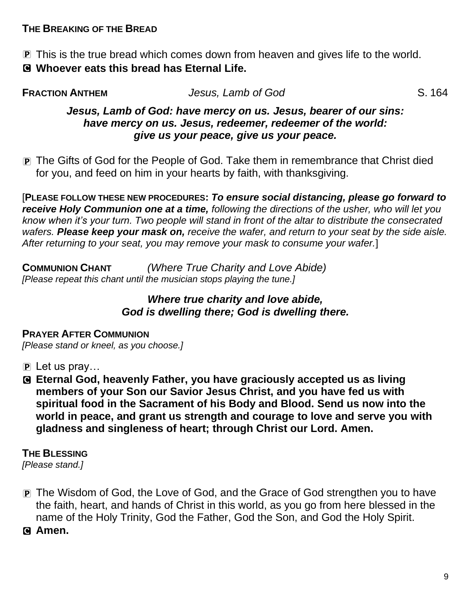**THE BREAKING OF THE BREAD**

P This is the true bread which comes down from heaven and gives life to the world. C **Whoever eats this bread has Eternal Life.**

**FRACTION ANTHEM** *Jesus, Lamb of God* S. 164

*Jesus, Lamb of God: have mercy on us. Jesus, bearer of our sins: have mercy on us. Jesus, redeemer, redeemer of the world: give us your peace, give us your peace.*

P The Gifts of God for the People of God. Take them in remembrance that Christ died for you, and feed on him in your hearts by faith, with thanksgiving.

[**PLEASE FOLLOW THESE NEW PROCEDURES:** *To ensure social distancing, please go forward to receive Holy Communion one at a time, following the directions of the usher, who will let you know when it's your turn. Two people will stand in front of the altar to distribute the consecrated wafers. Please keep your mask on, receive the wafer, and return to your seat by the side aisle. After returning to your seat, you may remove your mask to consume your wafer.*]

**COMMUNION CHANT** *(Where True Charity and Love Abide) [Please repeat this chant until the musician stops playing the tune.]*

### *Where true charity and love abide, God is dwelling there; God is dwelling there.*

#### **PRAYER AFTER COMMUNION**

*[Please stand or kneel, as you choose.]*

- $\mathbf{p}$  Let us pray...
- C **Eternal God, heavenly Father, you have graciously accepted us as living members of your Son our Savior Jesus Christ, and you have fed us with spiritual food in the Sacrament of his Body and Blood. Send us now into the world in peace, and grant us strength and courage to love and serve you with gladness and singleness of heart; through Christ our Lord. Amen.**

**THE BLESSING** *[Please stand.]*

P The Wisdom of God, the Love of God, and the Grace of God strengthen you to have the faith, heart, and hands of Christ in this world, as you go from here blessed in the name of the Holy Trinity, God the Father, God the Son, and God the Holy Spirit.

C **Amen.**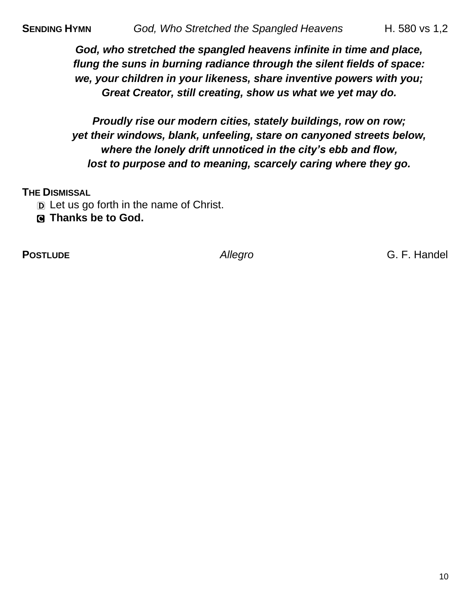*God, who stretched the spangled heavens infinite in time and place, flung the suns in burning radiance through the silent fields of space: we, your children in your likeness, share inventive powers with you; Great Creator, still creating, show us what we yet may do.*

*Proudly rise our modern cities, stately buildings, row on row; yet their windows, blank, unfeeling, stare on canyoned streets below, where the lonely drift unnoticed in the city's ebb and flow, lost to purpose and to meaning, scarcely caring where they go.* 

**THE DISMISSAL** 

D Let us go forth in the name of Christ.

C **Thanks be to God.** 

**POSTLUDE** *Allegro* G. F. Handel